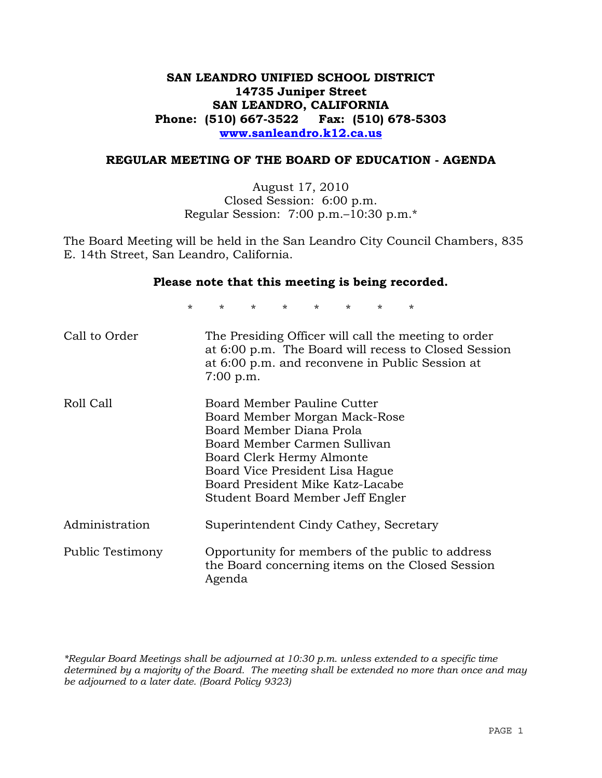## **SAN LEANDRO UNIFIED SCHOOL DISTRICT 14735 Juniper Street SAN LEANDRO, CALIFORNIA Phone: (510) 667-3522 Fax: (510) 678-5303 www.sanleandro.k12.ca.us**

#### **REGULAR MEETING OF THE BOARD OF EDUCATION - AGENDA**

August 17, 2010 Closed Session: 6:00 p.m. Regular Session: 7:00 p.m.–10:30 p.m.\*

The Board Meeting will be held in the San Leandro City Council Chambers, 835 E. 14th Street, San Leandro, California.

#### **Please note that this meeting is being recorded.**

\* \* \* \* \* \* \* \*

| Call to Order    | The Presiding Officer will call the meeting to order<br>at 6:00 p.m. The Board will recess to Closed Session<br>at 6:00 p.m. and reconvene in Public Session at<br>$7:00$ p.m.                                                                                   |
|------------------|------------------------------------------------------------------------------------------------------------------------------------------------------------------------------------------------------------------------------------------------------------------|
| Roll Call        | Board Member Pauline Cutter<br>Board Member Morgan Mack-Rose<br>Board Member Diana Prola<br>Board Member Carmen Sullivan<br>Board Clerk Hermy Almonte<br>Board Vice President Lisa Hague<br>Board President Mike Katz-Lacabe<br>Student Board Member Jeff Engler |
| Administration   | Superintendent Cindy Cathey, Secretary                                                                                                                                                                                                                           |
| Public Testimony | Opportunity for members of the public to address<br>the Board concerning items on the Closed Session<br>Agenda                                                                                                                                                   |

*\*Regular Board Meetings shall be adjourned at 10:30 p.m. unless extended to a specific time determined by a majority of the Board. The meeting shall be extended no more than once and may be adjourned to a later date. (Board Policy 9323)*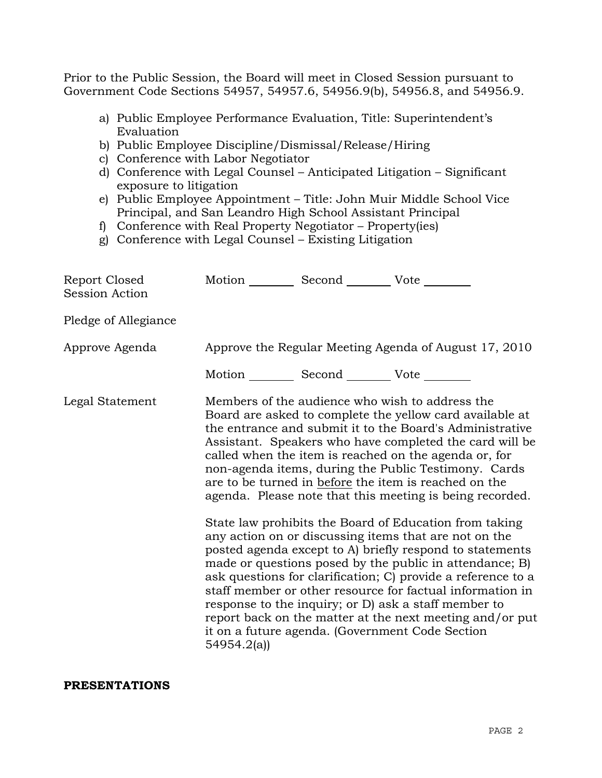Prior to the Public Session, the Board will meet in Closed Session pursuant to Government Code Sections 54957, 54957.6, 54956.9(b), 54956.8, and 54956.9.

- a) Public Employee Performance Evaluation, Title: Superintendent's Evaluation
- b) Public Employee Discipline/Dismissal/Release/Hiring
- c) Conference with Labor Negotiator
- d) Conference with Legal Counsel Anticipated Litigation Significant exposure to litigation
- e) Public Employee Appointment Title: John Muir Middle School Vice Principal, and San Leandro High School Assistant Principal
- f) Conference with Real Property Negotiator Property(ies)
- g) Conference with Legal Counsel Existing Litigation

| Report Closed<br><b>Session Action</b> | Motion __________ Second __________ Vote ________ |                                                                                                                                                                                                                                                                                                                                                                                                                                                                                                                                                                                                                                                                                                                                                                                                                                                                                                                                                                                                                        |
|----------------------------------------|---------------------------------------------------|------------------------------------------------------------------------------------------------------------------------------------------------------------------------------------------------------------------------------------------------------------------------------------------------------------------------------------------------------------------------------------------------------------------------------------------------------------------------------------------------------------------------------------------------------------------------------------------------------------------------------------------------------------------------------------------------------------------------------------------------------------------------------------------------------------------------------------------------------------------------------------------------------------------------------------------------------------------------------------------------------------------------|
| Pledge of Allegiance                   |                                                   |                                                                                                                                                                                                                                                                                                                                                                                                                                                                                                                                                                                                                                                                                                                                                                                                                                                                                                                                                                                                                        |
| Approve Agenda                         |                                                   | Approve the Regular Meeting Agenda of August 17, 2010                                                                                                                                                                                                                                                                                                                                                                                                                                                                                                                                                                                                                                                                                                                                                                                                                                                                                                                                                                  |
|                                        | Motion __________ Second __________ Vote ________ |                                                                                                                                                                                                                                                                                                                                                                                                                                                                                                                                                                                                                                                                                                                                                                                                                                                                                                                                                                                                                        |
| Legal Statement                        | 54954.2(a)                                        | Members of the audience who wish to address the<br>Board are asked to complete the yellow card available at<br>the entrance and submit it to the Board's Administrative<br>Assistant. Speakers who have completed the card will be<br>called when the item is reached on the agenda or, for<br>non-agenda items, during the Public Testimony. Cards<br>are to be turned in before the item is reached on the<br>agenda. Please note that this meeting is being recorded.<br>State law prohibits the Board of Education from taking<br>any action on or discussing items that are not on the<br>posted agenda except to A) briefly respond to statements<br>made or questions posed by the public in attendance; B)<br>ask questions for clarification; C) provide a reference to a<br>staff member or other resource for factual information in<br>response to the inquiry; or D) ask a staff member to<br>report back on the matter at the next meeting and/or put<br>it on a future agenda. (Government Code Section |

#### **PRESENTATIONS**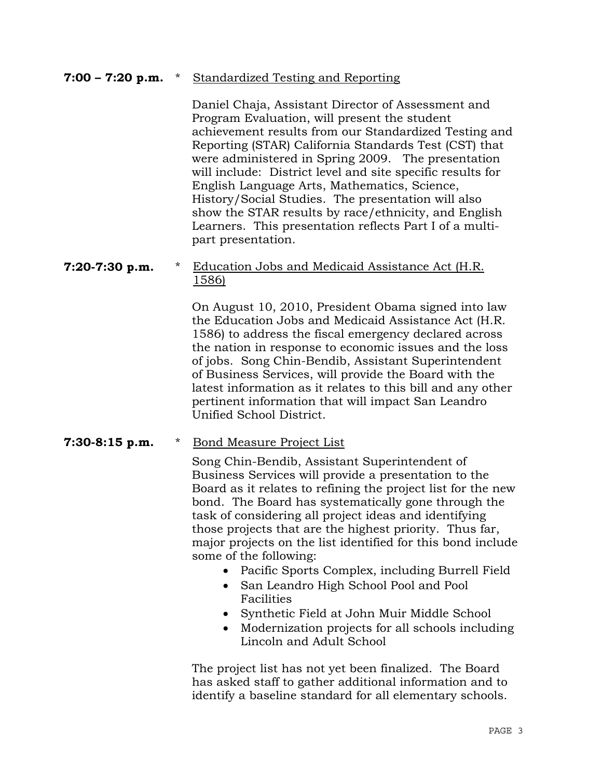## **7:00 – 7:20 p.m.** \* Standardized Testing and Reporting

Daniel Chaja, Assistant Director of Assessment and Program Evaluation, will present the student achievement results from our Standardized Testing and Reporting (STAR) California Standards Test (CST) that were administered in Spring 2009. The presentation will include: District level and site specific results for English Language Arts, Mathematics, Science, History/Social Studies. The presentation will also show the STAR results by race/ethnicity, and English Learners. This presentation reflects Part I of a multipart presentation.

## **7:20-7:30 p.m.** \* Education Jobs and Medicaid Assistance Act (H.R. 1586)

On August 10, 2010, President Obama signed into law the Education Jobs and Medicaid Assistance Act (H.R. 1586) to address the fiscal emergency declared across the nation in response to economic issues and the loss of jobs. Song Chin-Bendib, Assistant Superintendent of Business Services, will provide the Board with the latest information as it relates to this bill and any other pertinent information that will impact San Leandro Unified School District.

#### **7:30-8:15 p.m.** \* Bond Measure Project List

Song Chin-Bendib, Assistant Superintendent of Business Services will provide a presentation to the Board as it relates to refining the project list for the new bond. The Board has systematically gone through the task of considering all project ideas and identifying those projects that are the highest priority. Thus far, major projects on the list identified for this bond include some of the following:

- Pacific Sports Complex, including Burrell Field
- San Leandro High School Pool and Pool Facilities
- Synthetic Field at John Muir Middle School
- Modernization projects for all schools including Lincoln and Adult School

The project list has not yet been finalized. The Board has asked staff to gather additional information and to identify a baseline standard for all elementary schools.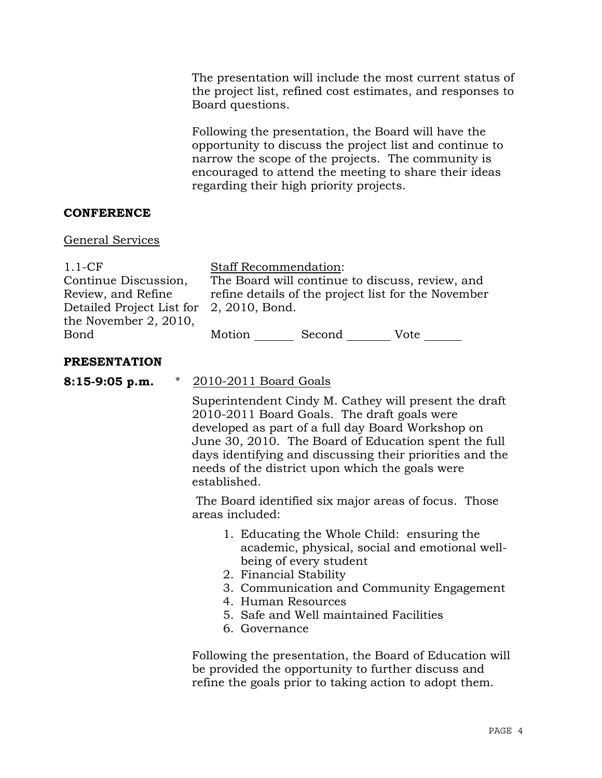The presentation will include the most current status of the project list, refined cost estimates, and responses to Board questions.

Following the presentation, the Board will have the opportunity to discuss the project list and continue to narrow the scope of the projects. The community is encouraged to attend the meeting to share their ideas regarding their high priority projects.

## **CONFERENCE**

#### General Services

| $1.1-CF$                  |  |
|---------------------------|--|
| Continue Discussion,      |  |
| Review, and Refine        |  |
| Detailed Project List for |  |
| the November 2, 2010,     |  |
| Bond                      |  |

Staff Recommendation:

The Board will continue to discuss, review, and refine details of the project list for the November 2, 2010, Bond.

Motion Second Vote

#### **PRESENTATION**

**8:15-9:05 p.m.** \* 2010-2011 Board Goals

Superintendent Cindy M. Cathey will present the draft 2010-2011 Board Goals. The draft goals were developed as part of a full day Board Workshop on June 30, 2010. The Board of Education spent the full days identifying and discussing their priorities and the needs of the district upon which the goals were established.

 The Board identified six major areas of focus. Those areas included:

- 1. Educating the Whole Child: ensuring the academic, physical, social and emotional wellbeing of every student
- 2. Financial Stability
- 3. Communication and Community Engagement
- 4. Human Resources
- 5. Safe and Well maintained Facilities
- 6. Governance

Following the presentation, the Board of Education will be provided the opportunity to further discuss and refine the goals prior to taking action to adopt them.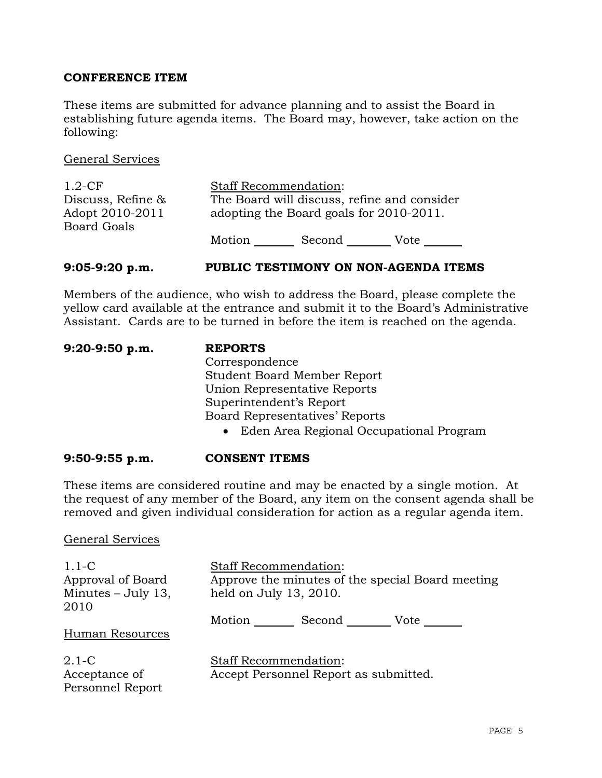## **CONFERENCE ITEM**

These items are submitted for advance planning and to assist the Board in establishing future agenda items. The Board may, however, take action on the following:

General Services

| $1.2$ -CF          | <b>Staff Recommendation:</b> |                                             |      |
|--------------------|------------------------------|---------------------------------------------|------|
| Discuss, Refine &  |                              | The Board will discuss, refine and consider |      |
| Adopt 2010-2011    |                              | adopting the Board goals for 2010-2011.     |      |
| <b>Board Goals</b> |                              |                                             |      |
|                    | Motion                       | Second                                      | Vote |

#### **9:05-9:20 p.m. PUBLIC TESTIMONY ON NON-AGENDA ITEMS**

Members of the audience, who wish to address the Board, please complete the yellow card available at the entrance and submit it to the Board's Administrative Assistant. Cards are to be turned in before the item is reached on the agenda.

| 9:20-9:50 p.m. | <b>REPORTS</b>                            |
|----------------|-------------------------------------------|
|                | Correspondence                            |
|                | <b>Student Board Member Report</b>        |
|                | Union Representative Reports              |
|                | Superintendent's Report                   |
|                | <b>Board Representatives' Reports</b>     |
|                | • Eden Area Regional Occupational Program |

#### **9:50-9:55 p.m. CONSENT ITEMS**

These items are considered routine and may be enacted by a single motion. At the request of any member of the Board, any item on the consent agenda shall be removed and given individual consideration for action as a regular agenda item.

#### General Services

| $1.1-C$<br>Approval of Board<br>Minutes $-$ July 13,<br>2010 | <b>Staff Recommendation:</b><br>Approve the minutes of the special Board meeting<br>held on July 13, 2010. |  |
|--------------------------------------------------------------|------------------------------------------------------------------------------------------------------------|--|
| Human Resources                                              | Motion<br>Second<br>Vote                                                                                   |  |
| $2.1\text{ }C$<br>Acceptance of<br>Personnel Report          | <b>Staff Recommendation:</b><br>Accept Personnel Report as submitted.                                      |  |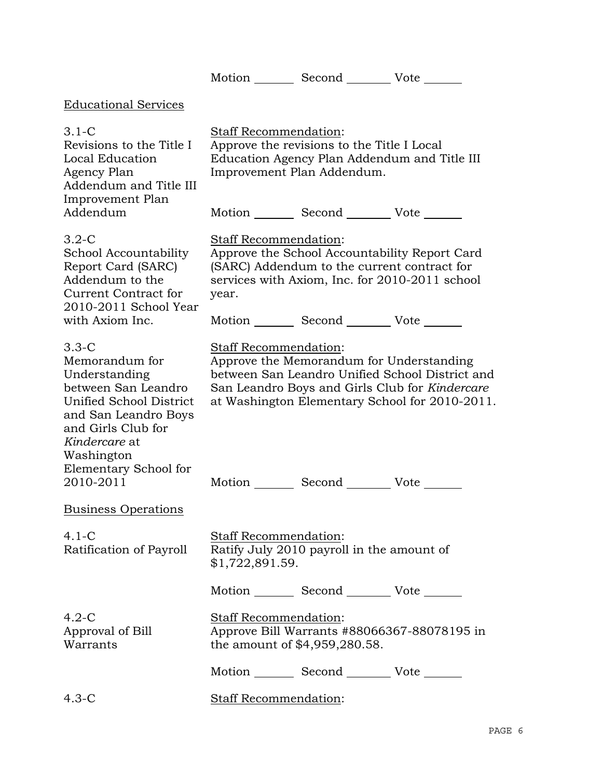|                                                                                                                                                                                                                   |                                          |                                                                          | Motion _________ Second __________ Vote _______                                                                                                                                                                                                    |
|-------------------------------------------------------------------------------------------------------------------------------------------------------------------------------------------------------------------|------------------------------------------|--------------------------------------------------------------------------|----------------------------------------------------------------------------------------------------------------------------------------------------------------------------------------------------------------------------------------------------|
| <b>Educational Services</b>                                                                                                                                                                                       |                                          |                                                                          |                                                                                                                                                                                                                                                    |
| $3.1 - C$<br>Revisions to the Title I<br>Local Education<br>Agency Plan<br>Addendum and Title III<br>Improvement Plan                                                                                             | Staff Recommendation:                    | Approve the revisions to the Title I Local<br>Improvement Plan Addendum. | Education Agency Plan Addendum and Title III                                                                                                                                                                                                       |
| Addendum                                                                                                                                                                                                          |                                          |                                                                          | Motion _________ Second __________ Vote _______                                                                                                                                                                                                    |
| $3.2-C$<br>School Accountability<br>Report Card (SARC)<br>Addendum to the<br>Current Contract for<br>2010-2011 School Year                                                                                        | Staff Recommendation:<br>year.           |                                                                          | Approve the School Accountability Report Card<br>(SARC) Addendum to the current contract for<br>services with Axiom, Inc. for 2010-2011 school                                                                                                     |
| with Axiom Inc.                                                                                                                                                                                                   |                                          |                                                                          | Motion _________ Second __________ Vote _______                                                                                                                                                                                                    |
| $3.3 - C$<br>Memorandum for<br>Understanding<br>between San Leandro<br>Unified School District<br>and San Leandro Boys<br>and Girls Club for<br>Kindercare at<br>Washington<br>Elementary School for<br>2010-2011 | Staff Recommendation:                    |                                                                          | Approve the Memorandum for Understanding<br>between San Leandro Unified School District and<br>San Leandro Boys and Girls Club for Kindercare<br>at Washington Elementary School for 2010-2011.<br>Motion _________ Second __________ Vote _______ |
| <b>Business Operations</b>                                                                                                                                                                                        |                                          |                                                                          |                                                                                                                                                                                                                                                    |
| $4.1-C$<br>Ratification of Payroll                                                                                                                                                                                | Staff Recommendation:<br>\$1,722,891.59. | Ratify July 2010 payroll in the amount of                                |                                                                                                                                                                                                                                                    |
|                                                                                                                                                                                                                   |                                          |                                                                          | Motion Second Vote                                                                                                                                                                                                                                 |
| $4.2-C$<br>Approval of Bill<br>Warrants                                                                                                                                                                           | Staff Recommendation:                    | the amount of \$4,959,280.58.                                            | Approve Bill Warrants #88066367-88078195 in                                                                                                                                                                                                        |
|                                                                                                                                                                                                                   |                                          |                                                                          | Motion _________ Second __________ Vote _______                                                                                                                                                                                                    |
| $4.3-C$                                                                                                                                                                                                           | Staff Recommendation:                    |                                                                          |                                                                                                                                                                                                                                                    |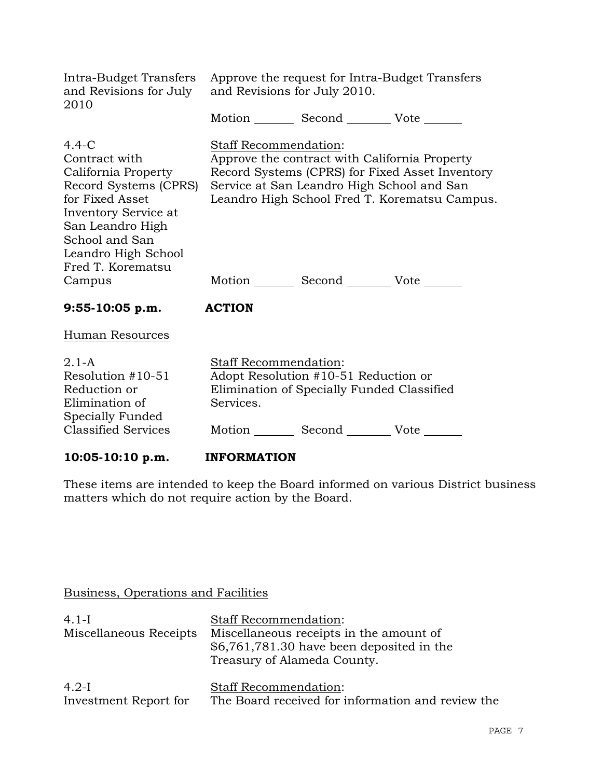| Intra-Budget Transfers<br>and Revisions for July<br>2010                                                                                                                                                        | and Revisions for July 2010.              | Approve the request for Intra-Budget Transfers<br>Motion _________ Second ___________ Vote _______                                    |                                                                                                  |
|-----------------------------------------------------------------------------------------------------------------------------------------------------------------------------------------------------------------|-------------------------------------------|---------------------------------------------------------------------------------------------------------------------------------------|--------------------------------------------------------------------------------------------------|
| $4.4-C$<br>Contract with<br>California Property<br>Record Systems (CPRS)<br>for Fixed Asset<br>Inventory Service at<br>San Leandro High<br>School and San<br>Leandro High School<br>Fred T. Korematsu<br>Campus | <b>Staff Recommendation:</b>              | Approve the contract with California Property<br>Service at San Leandro High School and San<br>Motion Second Vote                     | Record Systems (CPRS) for Fixed Asset Inventory<br>Leandro High School Fred T. Korematsu Campus. |
| $9:55-10:05 p.m.$                                                                                                                                                                                               | <b>ACTION</b>                             |                                                                                                                                       |                                                                                                  |
| <b>Human Resources</b>                                                                                                                                                                                          |                                           |                                                                                                                                       |                                                                                                  |
| $2.1-A$<br>Resolution #10-51<br>Reduction or<br>Elimination of<br>Specially Funded<br><b>Classified Services</b>                                                                                                | <b>Staff Recommendation:</b><br>Services. | Adopt Resolution #10-51 Reduction or<br>Elimination of Specially Funded Classified<br>Motion _________ Second __________ Vote _______ |                                                                                                  |

# 10:05-10:10 p.m. **INFORMATION**

These items are intended to keep the Board informed on various District business matters which do not require action by the Board.

# Business, Operations and Facilities

| $4.1-I$                          | <b>Staff Recommendation:</b>                                                                                         |
|----------------------------------|----------------------------------------------------------------------------------------------------------------------|
| Miscellaneous Receipts           | Miscellaneous receipts in the amount of<br>$$6,761,781.30$ have been deposited in the<br>Treasury of Alameda County. |
| $4.2-I$<br>Investment Report for | <b>Staff Recommendation:</b><br>The Board received for information and review the                                    |